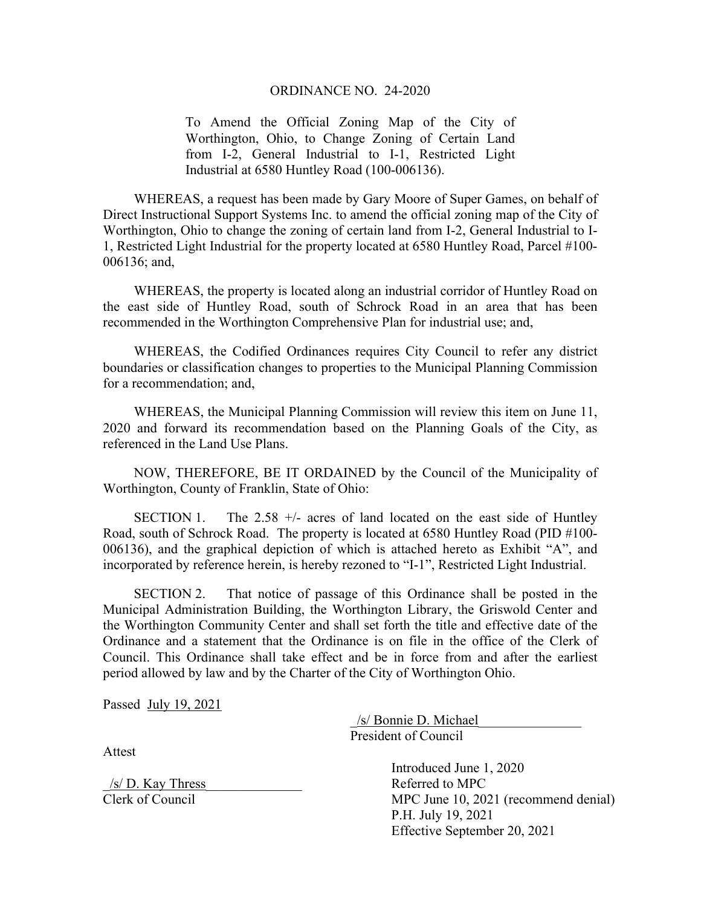## ORDINANCE NO. 24-2020

To Amend the Official Zoning Map of the City of Worthington, Ohio, to Change Zoning of Certain Land from I-2, General Industrial to I-1, Restricted Light Industrial at 6580 Huntley Road (100-006136).

WHEREAS, a request has been made by Gary Moore of Super Games, on behalf of Direct Instructional Support Systems Inc. to amend the official zoning map of the City of Worthington, Ohio to change the zoning of certain land from I-2, General Industrial to I-1, Restricted Light Industrial for the property located at 6580 Huntley Road, Parcel #100- 006136; and,

WHEREAS, the property is located along an industrial corridor of Huntley Road on the east side of Huntley Road, south of Schrock Road in an area that has been recommended in the Worthington Comprehensive Plan for industrial use; and,

WHEREAS, the Codified Ordinances requires City Council to refer any district boundaries or classification changes to properties to the Municipal Planning Commission for a recommendation; and,

WHEREAS, the Municipal Planning Commission will review this item on June 11, 2020 and forward its recommendation based on the Planning Goals of the City, as referenced in the Land Use Plans.

NOW, THEREFORE, BE IT ORDAINED by the Council of the Municipality of Worthington, County of Franklin, State of Ohio:

SECTION 1. The  $2.58 +/-$  acres of land located on the east side of Huntley Road, south of Schrock Road. The property is located at 6580 Huntley Road (PID #100- 006136), and the graphical depiction of which is attached hereto as Exhibit "A", and incorporated by reference herein, is hereby rezoned to "I-1", Restricted Light Industrial.

SECTION 2. That notice of passage of this Ordinance shall be posted in the Municipal Administration Building, the Worthington Library, the Griswold Center and the Worthington Community Center and shall set forth the title and effective date of the Ordinance and a statement that the Ordinance is on file in the office of the Clerk of Council. This Ordinance shall take effect and be in force from and after the earliest period allowed by law and by the Charter of the City of Worthington Ohio.

Passed July 19, 2021

 \_/s/ Bonnie D. Michael\_\_\_\_\_\_\_\_\_\_\_\_\_\_\_ President of Council

Attest

\_/s/ D. Kay Thress\_\_\_\_\_\_\_\_\_\_\_\_\_\_ Referred to MPC

 Introduced June 1, 2020 Clerk of Council MPC June 10, 2021 (recommend denial) P.H. July 19, 2021 Effective September 20, 2021